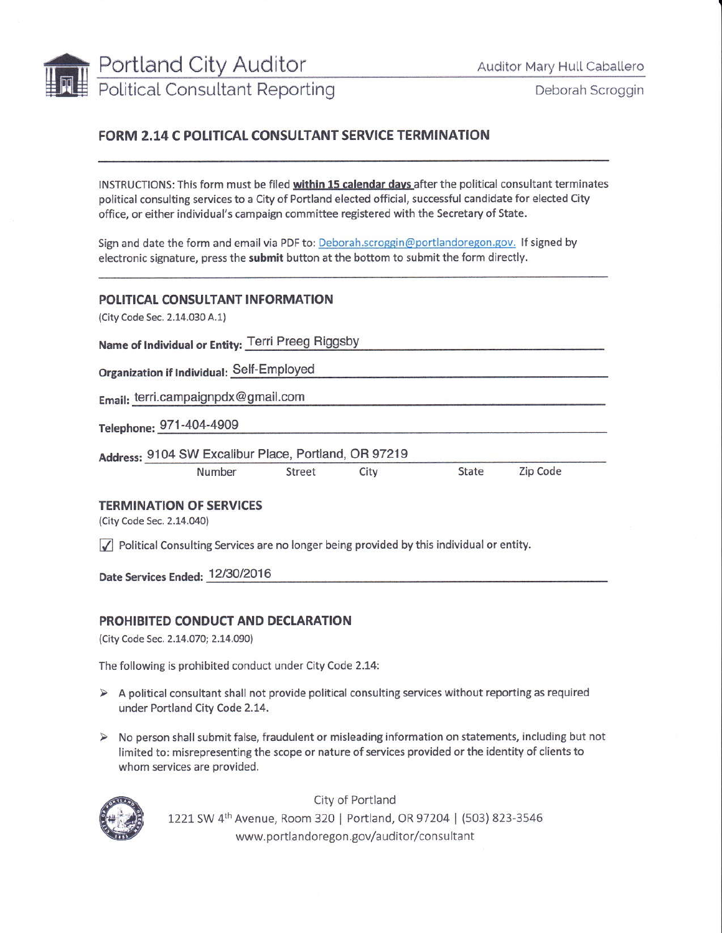

Deborah Scroggin

## **FORM 2.14 C POLITICAL CONSULTANT SERVICE TERMINATION**

INSTRUCTIONS: This form must be filed within 15 calendar days after the political consultant terminates political consulting services to a City of Portland elected official, successful candidate for elected City office, or either individual's campaign committee registered with the Secretary of State.

Sign and date the form and email via PDF to: Deborah.scroggin@portlandoregon.gov. If signed by electronic signature, press the submit button at the bottom to submit the form directly.

## POLITICAL CONSULTANT INFORMATION

(City Code Sec. 2.14.030 A.1)

Name of Individual or Entity: Terri Preeg Riggsby

Organization if Individual: Self-Employed

Email: terri.campaignpdx@gmail.com

Telephone: 971-404-4909

Address: 9104 SW Excalibur Place, Portland, OR 97219

| Number | Street | City | State | Zip Code |
|--------|--------|------|-------|----------|
|        |        |      |       |          |

## **TERMINATION OF SERVICES**

(City Code Sec. 2.14.040)

 $\sqrt{\phantom{a}}$  Political Consulting Services are no longer being provided by this individual or entity.

Date Services Ended: 12/30/2016

## PROHIBITED CONDUCT AND DECLARATION

(City Code Sec. 2.14.070; 2.14.090)

The following is prohibited conduct under City Code 2.14:

- > A political consultant shall not provide political consulting services without reporting as required under Portland City Code 2.14.
- > No person shall submit false, fraudulent or misleading information on statements, including but not limited to: misrepresenting the scope or nature of services provided or the identity of clients to whom services are provided.



City of Portland 1221 SW 4th Avenue, Room 320 | Portland, OR 97204 | (503) 823-3546 www.portlandoregon.gov/auditor/consultant